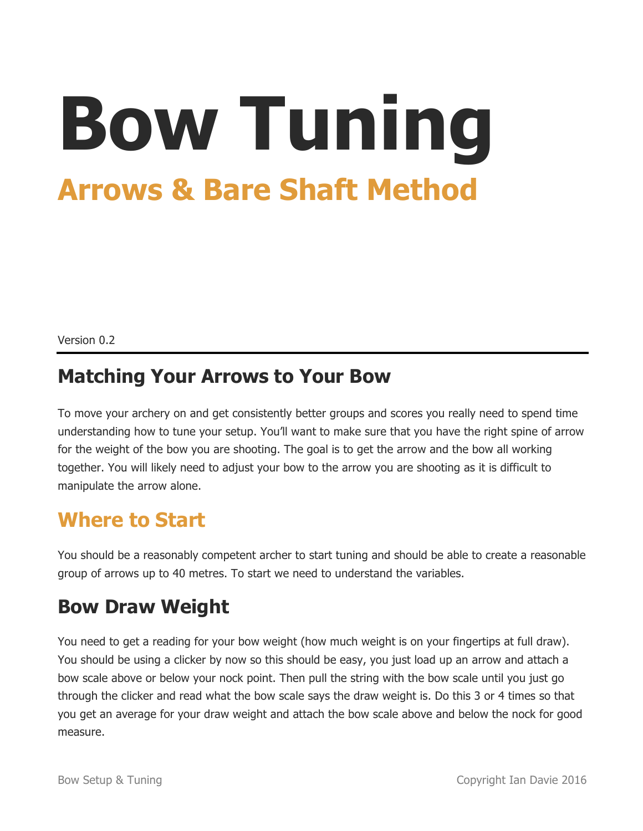# **Bow Tuning Arrows & Bare Shaft Method**

Version 0.2

#### **Matching Your Arrows to Your Bow**

To move your archery on and get consistently better groups and scores you really need to spend time understanding how to tune your setup. You'll want to make sure that you have the right spine of arrow for the weight of the bow you are shooting. The goal is to get the arrow and the bow all working together. You will likely need to adjust your bow to the arrow you are shooting as it is difficult to manipulate the arrow alone.

## **Where to Start**

You should be a reasonably competent archer to start tuning and should be able to create a reasonable group of arrows up to 40 metres. To start we need to understand the variables.

#### **Bow Draw Weight**

You need to get a reading for your bow weight (how much weight is on your fingertips at full draw). You should be using a clicker by now so this should be easy, you just load up an arrow and attach a bow scale above or below your nock point. Then pull the string with the bow scale until you just go through the clicker and read what the bow scale says the draw weight is. Do this 3 or 4 times so that you get an average for your draw weight and attach the bow scale above and below the nock for good measure.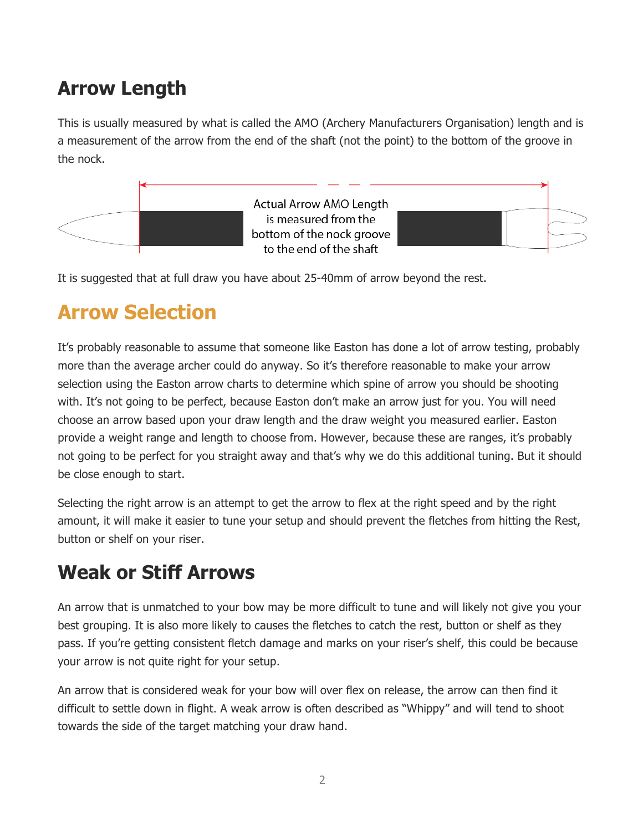## **Arrow Length**

This is usually measured by what is called the AMO (Archery Manufacturers Organisation) length and is a measurement of the arrow from the end of the shaft (not the point) to the bottom of the groove in the nock.



It is suggested that at full draw you have about 25-40mm of arrow beyond the rest.

## **Arrow Selection**

It's probably reasonable to assume that someone like Easton has done a lot of arrow testing, probably more than the average archer could do anyway. So it's therefore reasonable to make your arrow selection using the Easton arrow charts to determine which spine of arrow you should be shooting with. It's not going to be perfect, because Easton don't make an arrow just for you. You will need choose an arrow based upon your draw length and the draw weight you measured earlier. Easton provide a weight range and length to choose from. However, because these are ranges, it's probably not going to be perfect for you straight away and that's why we do this additional tuning. But it should be close enough to start.

Selecting the right arrow is an attempt to get the arrow to flex at the right speed and by the right amount, it will make it easier to tune your setup and should prevent the fletches from hitting the Rest, button or shelf on your riser.

#### **Weak or Stiff Arrows**

An arrow that is unmatched to your bow may be more difficult to tune and will likely not give you your best grouping. It is also more likely to causes the fletches to catch the rest, button or shelf as they pass. If you're getting consistent fletch damage and marks on your riser's shelf, this could be because your arrow is not quite right for your setup.

An arrow that is considered weak for your bow will over flex on release, the arrow can then find it difficult to settle down in flight. A weak arrow is often described as "Whippy" and will tend to shoot towards the side of the target matching your draw hand.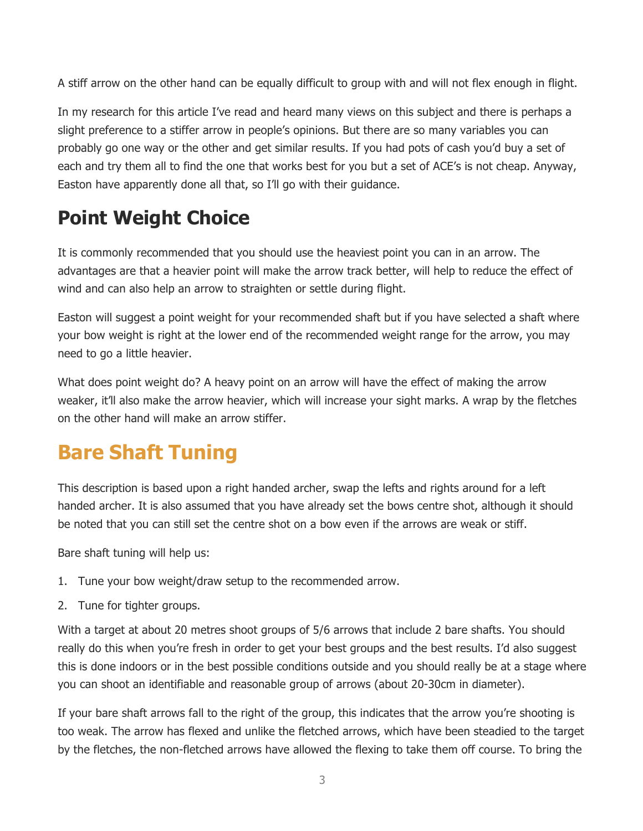A stiff arrow on the other hand can be equally difficult to group with and will not flex enough in flight.

In my research for this article I've read and heard many views on this subject and there is perhaps a slight preference to a stiffer arrow in people's opinions. But there are so many variables you can probably go one way or the other and get similar results. If you had pots of cash you'd buy a set of each and try them all to find the one that works best for you but a set of ACE's is not cheap. Anyway, Easton have apparently done all that, so I'll go with their guidance.

### **Point Weight Choice**

It is commonly recommended that you should use the heaviest point you can in an arrow. The advantages are that a heavier point will make the arrow track better, will help to reduce the effect of wind and can also help an arrow to straighten or settle during flight.

Easton will suggest a point weight for your recommended shaft but if you have selected a shaft where your bow weight is right at the lower end of the recommended weight range for the arrow, you may need to go a little heavier.

What does point weight do? A heavy point on an arrow will have the effect of making the arrow weaker, it'll also make the arrow heavier, which will increase your sight marks. A wrap by the fletches on the other hand will make an arrow stiffer.

# **Bare Shaft Tuning**

This description is based upon a right handed archer, swap the lefts and rights around for a left handed archer. It is also assumed that you have already set the bows centre shot, although it should be noted that you can still set the centre shot on a bow even if the arrows are weak or stiff.

Bare shaft tuning will help us:

- 1. Tune your bow weight/draw setup to the recommended arrow.
- 2. Tune for tighter groups.

With a target at about 20 metres shoot groups of 5/6 arrows that include 2 bare shafts. You should really do this when you're fresh in order to get your best groups and the best results. I'd also suggest this is done indoors or in the best possible conditions outside and you should really be at a stage where you can shoot an identifiable and reasonable group of arrows (about 20-30cm in diameter).

If your bare shaft arrows fall to the right of the group, this indicates that the arrow you're shooting is too weak. The arrow has flexed and unlike the fletched arrows, which have been steadied to the target by the fletches, the non-fletched arrows have allowed the flexing to take them off course. To bring the